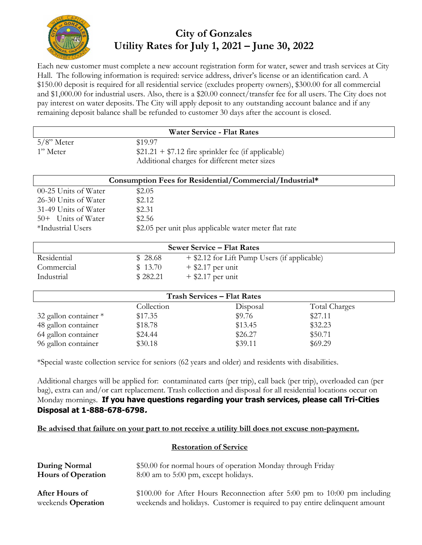

# **City of Gonzales Utility Rates for July 1, 2021 – June 30, 2022**

Each new customer must complete a new account registration form for water, sewer and trash services at City Hall. The following information is required: service address, driver's license or an identification card. A \$150.00 deposit is required for all residential service (excludes property owners), \$300.00 for all commercial and \$1,000.00 for industrial users. Also, there is a \$20.00 connect/transfer fee for all users. The City does not pay interest on water deposits. The City will apply deposit to any outstanding account balance and if any remaining deposit balance shall be refunded to customer 30 days after the account is closed.

| <b>Water Service - Flat Rates</b>                       |                                                       |                                              |               |  |  |  |  |
|---------------------------------------------------------|-------------------------------------------------------|----------------------------------------------|---------------|--|--|--|--|
| $5/8$ " Meter                                           | \$19.97                                               |                                              |               |  |  |  |  |
| 1" Meter                                                | $$21.21 + $7.12$ fire sprinkler fee (if applicable)   |                                              |               |  |  |  |  |
|                                                         | Additional charges for different meter sizes          |                                              |               |  |  |  |  |
| Consumption Fees for Residential/Commercial/Industrial* |                                                       |                                              |               |  |  |  |  |
| 00-25 Units of Water                                    | \$2.05                                                |                                              |               |  |  |  |  |
| 26-30 Units of Water                                    | \$2.12                                                |                                              |               |  |  |  |  |
| 31-49 Units of Water                                    | \$2.31                                                |                                              |               |  |  |  |  |
| 50+ Units of Water                                      | \$2.56                                                |                                              |               |  |  |  |  |
| *Industrial Users                                       | \$2.05 per unit plus applicable water meter flat rate |                                              |               |  |  |  |  |
| <b>Sewer Service – Flat Rates</b>                       |                                                       |                                              |               |  |  |  |  |
| Residential                                             | 28.68<br>\$                                           | + \$2.12 for Lift Pump Users (if applicable) |               |  |  |  |  |
| Commercial                                              | 13.70<br>S.                                           | $+$ \$2.17 per unit                          |               |  |  |  |  |
| Industrial                                              | \$282.21                                              | $+$ \$2.17 per unit                          |               |  |  |  |  |
| <b>Trash Services - Flat Rates</b>                      |                                                       |                                              |               |  |  |  |  |
|                                                         | Collection                                            | Disposal                                     | Total Charges |  |  |  |  |
| 32 gallon container *                                   | \$17.35                                               | \$9.76                                       | \$27.11       |  |  |  |  |
| 48 gallon container                                     | \$18.78                                               | \$13.45                                      | \$32.23       |  |  |  |  |

\*Special waste collection service for seniors (62 years and older) and residents with disabilities.

64 gallon container \$24.44 \$26.27 \$50.71 96 gallon container \$30.18 \$39.11 \$69.29

Additional charges will be applied for: contaminated carts (per trip), call back (per trip), overloaded can (per bag), extra can and/or cart replacement. Trash collection and disposal for all residential locations occur on Monday mornings. **If you have questions regarding your trash services, please call Tri-Cities Disposal at 1-888-678-6798.**

#### **Be advised that failure on your part to not receive a utility bill does not excuse non-payment.**

#### **Restoration of Service**

| During Normal             | \$50.00 for normal hours of operation Monday through Friday                 |  |  |  |
|---------------------------|-----------------------------------------------------------------------------|--|--|--|
| <b>Hours of Operation</b> | 8:00 am to 5:00 pm, except holidays.                                        |  |  |  |
| After Hours of            | $$100.00$ for After Hours Reconnection after 5:00 pm to 10:00 pm including  |  |  |  |
| weekends <b>Operation</b> | weekends and holidays. Customer is required to pay entire delinquent amount |  |  |  |